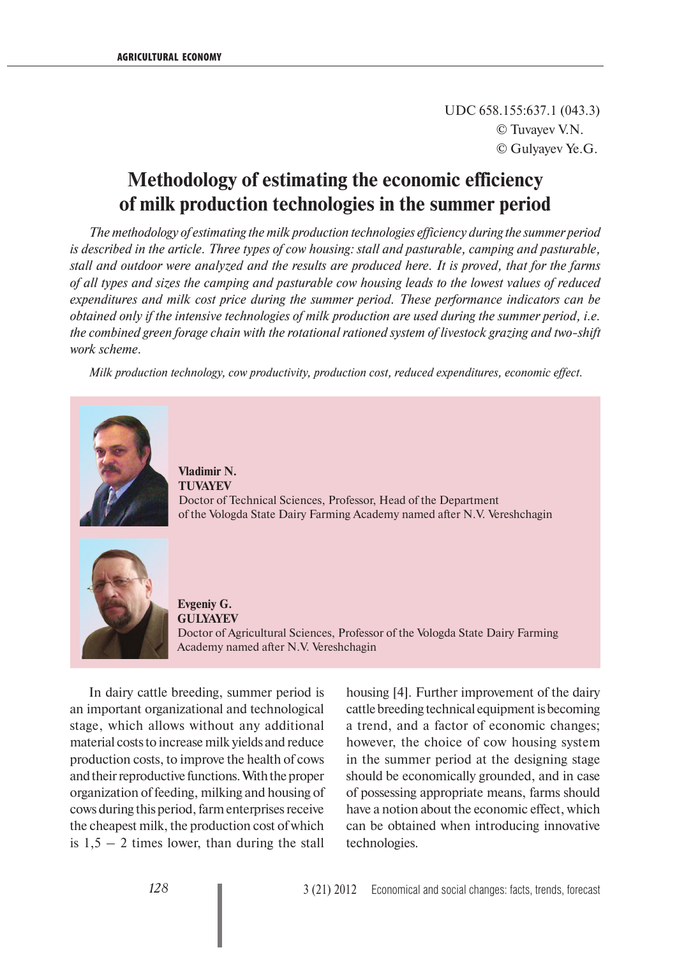UDC 658.155:637.1 (043.3) © Tuvayev V.N. © Gulyayev Ye.G.

## **Methodology of estimating the economic efficiency of milk production technologies in the summer period**

*The methodology of estimating the milk production technologies efficiency during the summer period is described in the article. Three types of cow housing: stall and pasturable, camping and pasturable, stall and outdoor were analyzed and the results are produced here. It is proved, that for the farms of all types and sizes the camping and pasturable cow housing leads to the lowest values of reduced expenditures and milk cost price during the summer period. These performance indicators can be obtained only if the intensive technologies of milk production are used during the summer period, i.e. the combined green forage chain with the rotational rationed system of livestock grazing and two-shift work scheme.*

*Milk production technology, cow productivity, production cost, reduced expenditures, economic effect.*



**Vladimir N. TUVAYEV** Doctor of Technical Sciences, Professor, Head of the Department of the Vologda State Dairy Farming Academy named after N.V. Vereshchagin



**Evgeniy G. GULYAYEV** Doctor of Agricultural Sciences, Professor of the Vologda State Dairy Farming Academy named after N.V. Vereshchagin

In dairy cattle breeding, summer period is an important organizational and technological stage, which allows without any additional material costs to increase milk yields and reduce production costs, to improve the health of cows and their reproductive functions. With the proper organization of feeding, milking and housing of cows during this period, farm enterprises receive the cheapest milk, the production cost of which is  $1,5 - 2$  times lower, than during the stall

housing [4]. Further improvement of the dairy cattle breeding technical equipment is becoming a trend, and a factor of economic changes; however, the choice of cow housing system in the summer period at the designing stage should be economically grounded, and in case of possessing appropriate means, farms should have a notion about the economic effect, which can be obtained when introducing innovative technologies.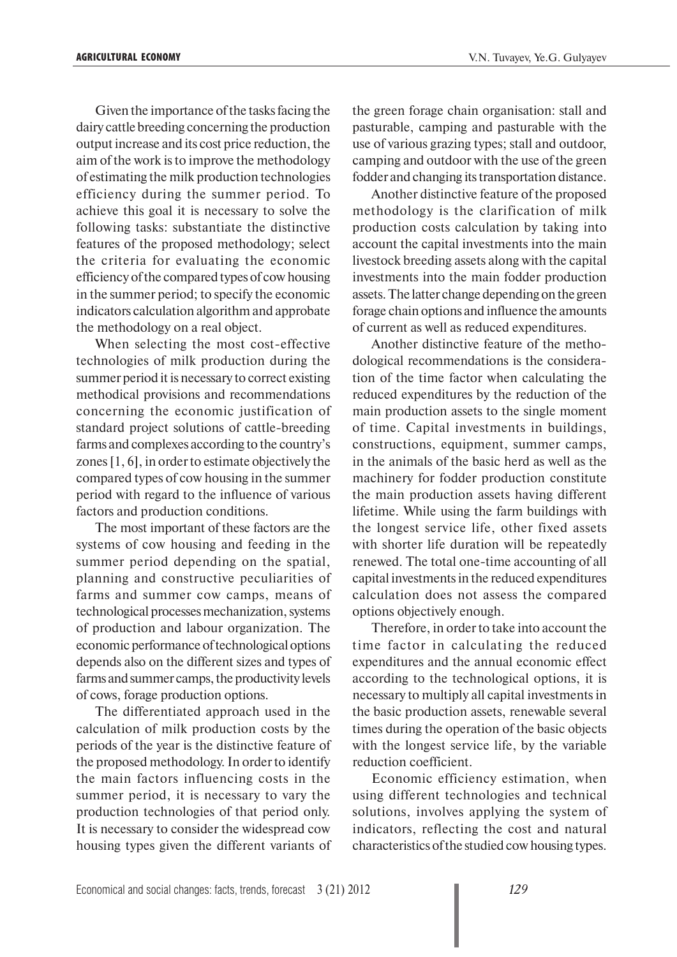Given the importance of the tasks facing the dairy cattle breeding concerning the production output increase and its cost price reduction, the aim of the work is to improve the methodology of estimating the milk production technologies efficiency during the summer period. To achieve this goal it is necessary to solve the following tasks: substantiate the distinctive features of the proposed methodology; select the criteria for evaluating the economic efficiency of the compared types of cow housing in the summer period; to specify the economic indicators calculation algorithm and approbate the methodology on a real object.

When selecting the most cost-effective technologies of milk production during the summer period it is necessary to correct existing methodical provisions and recommendations concerning the economic justification of standard project solutions of cattle-breeding farms and complexes according to the country's zones [1, 6], in order to estimate objectively the compared types of cow housing in the summer period with regard to the influence of various factors and production conditions.

The most important of these factors are the systems of cow housing and feeding in the summer period depending on the spatial, planning and constructive peculiarities of farms and summer cow camps, means of technological processes mechanization, systems of production and labour organization. The economic performance of technological options depends also on the different sizes and types of farms and summer camps, the productivity levels of cows, forage production options.

The differentiated approach used in the calculation of milk production costs by the periods of the year is the distinctive feature of the proposed methodology. In order to identify the main factors influencing costs in the summer period, it is necessary to vary the production technologies of that period only. It is necessary to consider the widespread cow housing types given the different variants of the green forage chain organisation: stall and pasturable, camping and pasturable with the use of various grazing types; stall and outdoor, camping and outdoor with the use of the green fodder and changing its transportation distance.

Another distinctive feature of the proposed methodology is the clarification of milk production costs calculation by taking into account the capital investments into the main livestock breeding assets along with the capital investments into the main fodder production assets. The latter change depending on the green forage chain options and influence the amounts of current as well as reduced expenditures.

Another distinctive feature of the methodological recommendations is the consideration of the time factor when calculating the reduced expenditures by the reduction of the main production assets to the single moment of time. Capital investments in buildings, constructions, equipment, summer camps, in the animals of the basic herd as well as the machinery for fodder production constitute the main production assets having different lifetime. While using the farm buildings with the longest service life, other fixed assets with shorter life duration will be repeatedly renewed. The total one-time accounting of all capital investments in the reduced expenditures calculation does not assess the compared options objectively enough.

Therefore, in order to take into account the time factor in calculating the reduced expenditures and the annual economic effect according to the technological options, it is necessary to multiply all capital investments in the basic production assets, renewable several times during the operation of the basic objects with the longest service life, by the variable reduction coefficient.

Economic efficiency estimation, when using different technologies and technical solutions, involves applying the system of indicators, reflecting the cost and natural characteristics of the studied cow housing types.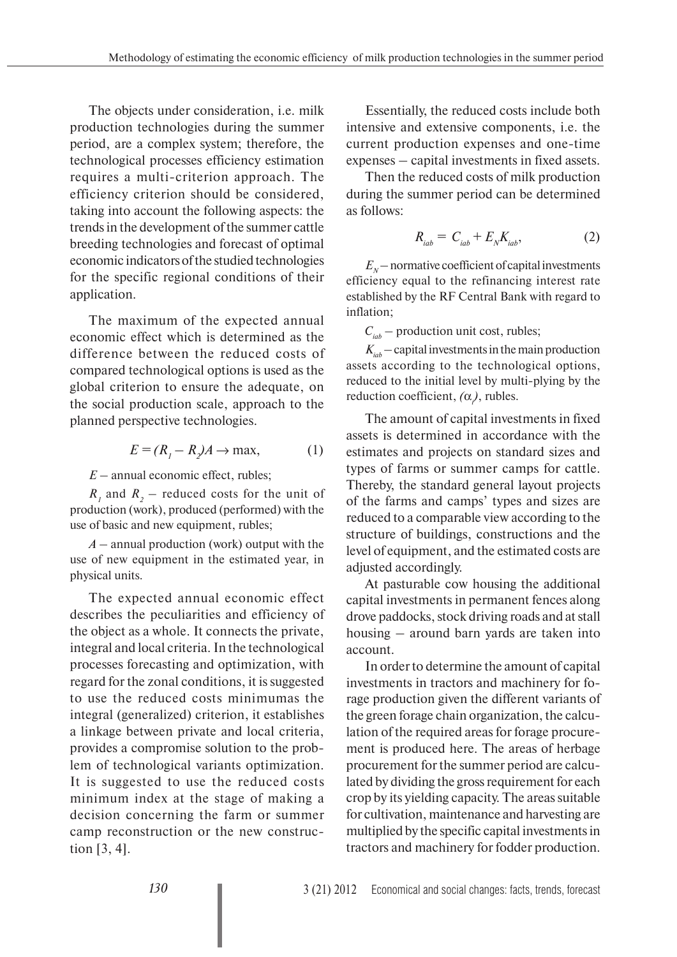The objects under consideration, i.e. milk production technologies during the summer period, are a complex system; therefore, the technological processes efficiency estimation requires a multi-criterion approach. The efficiency criterion should be considered, taking into account the following aspects: the trends in the development of the summer cattle breeding technologies and forecast of optimal economic indicators of the studied technologies for the specific regional conditions of their application.

The maximum of the expected annual economic effect which is determined as the difference between the reduced costs of compared technological options is used as the global criterion to ensure the adequate, on the social production scale, approach to the planned perspective technologies.

$$
E = (R_1 - R_2)A \to \text{max},\tag{1}
$$

*E* – annual economic effect, rubles;

 $R_1$  and  $R_2$  – reduced costs for the unit of production (work), produced (performed) with the use of basic and new equipment, rubles;

*A* – annual production (work) output with the use of new equipment in the estimated year, in physical units.

The expected annual economic effect describes the peculiarities and efficiency of the object as a whole. It connects the private, integral and local criteria. In the technological processes forecasting and optimization, with regard for the zonal conditions, it is suggested to use the reduced costs minimumas the integral (generalized) criterion, it establishes a linkage between private and local criteria, provides a compromise solution to the problem of technological variants optimization. It is suggested to use the reduced costs minimum index at the stage of making a decision concerning the farm or summer camp reconstruction or the new construction [3, 4].

Essentially, the reduced costs include both intensive and extensive components, i.e. the current production expenses and one-time expenses – capital investments in fixed assets.

Then the reduced costs of milk production during the summer period can be determined as follows:

$$
R_{iab} = C_{iab} + E_N K_{iab}, \qquad (2)
$$

 $E<sub>N</sub>$  – normative coefficient of capital investments efficiency equal to the refinancing interest rate established by the RF Central Bank with regard to inflation;

 $C_{iab}$  – production unit cost, rubles;

 $K_{iab}$  – capital investments in the main production assets according to the technological options, reduced to the initial level by multi-plying by the reduction coefficient,  $(\alpha)$ , rubles.

The amount of capital investments in fixed assets is determined in accordance with the estimates and projects on standard sizes and types of farms or summer camps for cattle. Thereby, the standard general layout projects of the farms and camps' types and sizes are reduced to a comparable view according to the structure of buildings, constructions and the level of equipment, and the estimated costs are adjusted accordingly.

At pasturable cow housing the additional capital investments in permanent fences along drove paddocks, stock driving roads and at stall housing – around barn yards are taken into account.

In order to determine the amount of capital investments in tractors and machinery for forage production given the different variants of the green forage chain organization, the calculation of the required areas for forage procurement is produced here. The areas of herbage procurement for the summer period are calculated by dividing the gross requirement for each crop by its yielding capacity. The areas suitable for cultivation, maintenance and harvesting are multiplied by the specific capital investments in tractors and machinery for fodder production.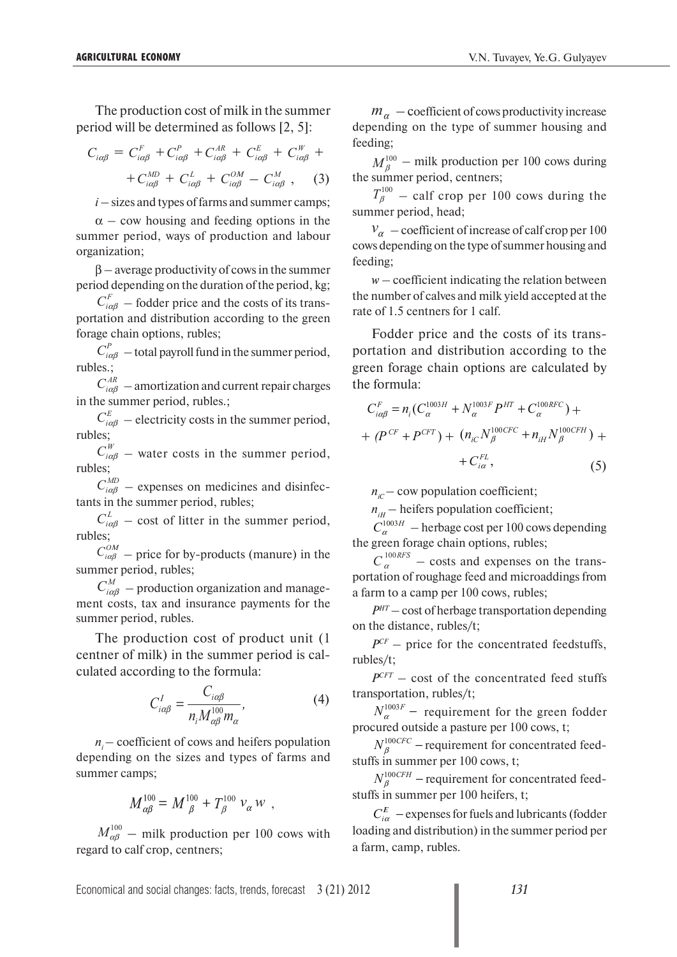The production cost of milk in the summer period will be determined as follows [2, 5]:

$$
C_{i\alpha\beta} = C_{i\alpha\beta}^F + C_{i\alpha\beta}^P + C_{i\alpha\beta}^{AR} + C_{i\alpha\beta}^E + C_{i\alpha\beta}^W +
$$
  
+ 
$$
C_{i\alpha\beta}^{MD} + C_{i\alpha\beta}^L + C_{i\alpha\beta}^{OM} - C_{i\alpha\beta}^M , \qquad (3)
$$

 $i$  – sizes and types of farms and summer camps;

 $\alpha$  – cow housing and feeding options in the summer period, ways of production and labour organization;

β – average productivity of cows in the summer period depending on the duration of the period, kg;

 $C_{i\alpha\beta}^F$  – fodder price and the costs of its transportation and distribution according to the green forage chain options, rubles;

 $C_{i\alpha\beta}^P$  – total payroll fund in the summer period, rubles.;

 $C_{i\alpha\beta}^{AR}$  – amortization and current repair charges in the summer period, rubles.;

 $C_{i\alpha\beta}^E$  – electricity costs in the summer period, rubles;

 $C_{i\alpha\beta}^{W}$  – water costs in the summer period, rubles;

 $C_{i\alpha\beta}^{MD}$  – expenses on medicines and disinfectants in the summer period, rubles;

 $C_{i\alpha\beta}^L$  – cost of litter in the summer period, rubles;

 $C_{i\alpha\beta}^{OM}$  – price for by-products (manure) in the summer period, rubles;

 $C_{i\alpha\beta}^{M}$  – production organization and management costs, tax and insurance payments for the summer period, rubles.

The production cost of product unit (1 centner of milk) in the summer period is calculated according to the formula:

$$
C_{i\alpha\beta}^{I} = \frac{C_{i\alpha\beta}}{n_i M_{\alpha\beta}^{100} m_{\alpha}},
$$
\n(4)

 $n_i$  – coefficient of cows and heifers population depending on the sizes and types of farms and summer camps;

$$
M^{100}_{\alpha\beta} = M^{100}_{\ \beta} + T^{100}_{\beta} \; \nu_{\alpha} \, w \;\; ,
$$

 $M_{\alpha\beta}^{100}$  – milk production per 100 cows with regard to calf crop, centners;

 $m_a$  – coefficient of cows productivity increase depending on the type of summer housing and feeding;

 $M_{\text{e}}^{100}$  – milk production per 100 cows during the summer period, centners;

 $T_{\beta}^{100}$  – calf crop per 100 cows during the summer period, head;

 $v_{\alpha}$  – coefficient of increase of calf crop per 100 cows depending on the type of summer housing and feeding;

*w* – coefficient indicating the relation between the number of calves and milk yield accepted at the rate of 1.5 centners for 1 calf.

Fodder price and the costs of its transportation and distribution according to the green forage chain options are calculated by the formula:

$$
C_{i\alpha\beta}^{F} = n_{i}(C_{\alpha}^{1003H} + N_{\alpha}^{1003F}P^{HT} + C_{\alpha}^{100RFC}) +
$$
  
+ 
$$
(P^{CF} + P^{CFT}) + (n_{iC}N_{\beta}^{100CFC} + n_{iH}N_{\beta}^{100CFH}) +
$$
  
+ 
$$
C_{i\alpha}^{FL},
$$
 (5)

 $n_{c}$ – cow population coefficient;

 $n_{\mu}$  – heifers population coefficient;

 $C_{\alpha}^{1003H}$  – herbage cost per 100 cows depending the green forage chain options, rubles;

 $C_{\alpha}^{100RFS}$  – costs and expenses on the transportation of roughage feed and microaddings from a farm to a camp per 100 cows, rubles;

*PHT* – cost of herbage transportation depending on the distance, rubles/t;

 $P^{CF}$  – price for the concentrated feedstuffs, rubles/t;

 $P^{CFT}$  – cost of the concentrated feed stuffs transportation, rubles/t;

 $N_{\alpha}^{1003F}$  – requirement for the green fodder procured outside a pasture per 100 cows, t;

 $N_\beta^{100CFC}$  – requirement for concentrated feedstuffs in summer per 100 cows, t;

 $N_\beta^{100CFH}$  – requirement for concentrated feedstuffs in summer per 100 heifers, t;

 $C_{i\alpha}^{E}$  – expenses for fuels and lubricants (fodder loading and distribution) in the summer period per a farm, camp, rubles.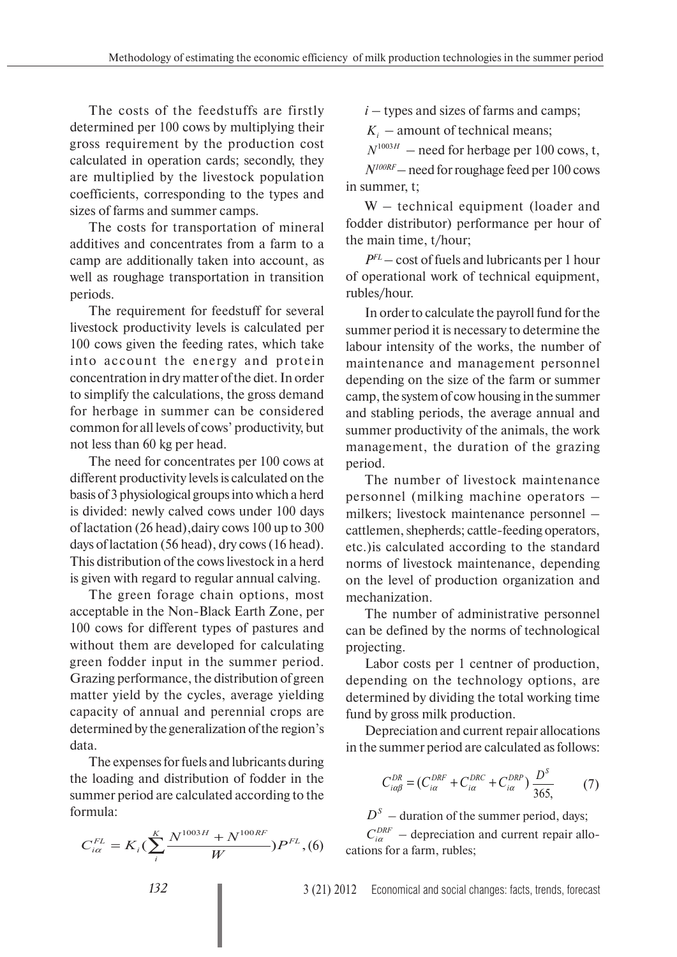The costs of the feedstuffs are firstly determined per 100 cows by multiplying their gross requirement by the production cost calculated in operation cards; secondly, they are multiplied by the livestock population coefficients, corresponding to the types and sizes of farms and summer camps.

The costs for transportation of mineral additives and concentrates from a farm to a camp are additionally taken into account, as well as roughage transportation in transition periods.

The requirement for feedstuff for several livestock productivity levels is calculated per 100 cows given the feeding rates, which take into account the energy and protein concentration in dry matter of the diet. In order to simplify the calculations, the gross demand for herbage in summer can be considered common for all levels of cows' productivity, but not less than 60 kg per head.

The need for concentrates per 100 cows at different productivity levels is calculated on the basis of 3 physiological groups into which a herd is divided: newly calved cows under 100 days of lactation (26 head),dairy cows 100 up to 300 days of lactation (56 head), dry cows (16 head). This distribution of the cows livestock in a herd is given with regard to regular annual calving.

The green forage chain options, most acceptable in the Non-Black Earth Zone, per 100 cows for different types of pastures and without them are developed for calculating green fodder input in the summer period. Grazing performance, the distribution of green matter yield by the cycles, average yielding capacity of annual and perennial crops are determined by the generalization of the region's data.

The expenses for fuels and lubricants during the loading and distribution of fodder in the summer period are calculated according to the formula:

$$
C_{i\alpha}^{FL} = K_i(\sum_{i}^{K} \frac{N^{1003H} + N^{100RF}}{W})P^{FL}, (6)
$$

 $i$  – types and sizes of farms and camps;

 $K_i$  – amount of technical means;

 $N^{1003H}$  – need for herbage per 100 cows, t,

*N100RF* – need for roughage feed per 100 cows in summer, t;

W – technical equipment (loader and fodder distributor) performance per hour of the main time, t/hour;

*PFL* – cost of fuels and lubricants per 1 hour of operational work of technical equipment, rubles/hour.

In order to calculate the payroll fund for the summer period it is necessary to determine the labour intensity of the works, the number of maintenance and management personnel depending on the size of the farm or summer camp, the system of cow housing in the summer and stabling periods, the average annual and summer productivity of the animals, the work management, the duration of the grazing period.

The number of livestock maintenance personnel (milking machine operators – milkers; livestock maintenance personnel – cattlemen, shepherds; cattle-feeding operators, etc.)is calculated according to the standard norms of livestock maintenance, depending on the level of production organization and mechanization.

The number of administrative personnel can be defined by the norms of technological projecting.

Labor costs per 1 centner of production, depending on the technology options, are determined by dividing the total working time fund by gross milk production.

Depreciation and current repair allocations in the summer period are calculated as follows:

$$
C_{i\alpha\beta}^{DR} = (C_{i\alpha}^{DRF} + C_{i\alpha}^{DRC} + C_{i\alpha}^{DRP})\frac{D^S}{365},\tag{7}
$$

 $D<sup>S</sup>$  – duration of the summer period, days;  $C_{ia}^{DRF}$  – depreciation and current repair allocations for a farm, rubles;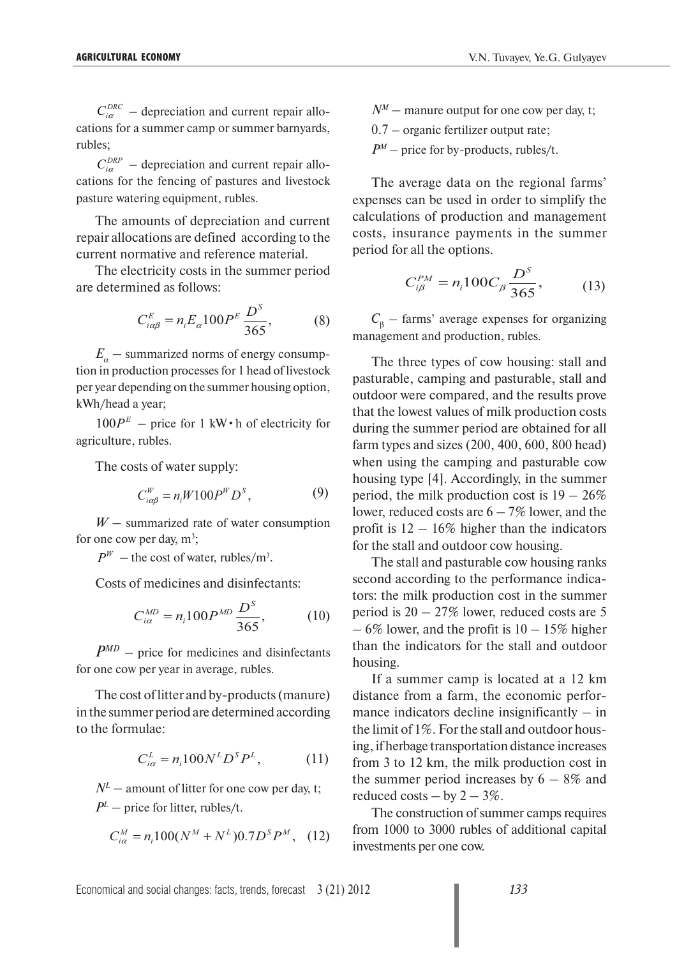$C_{i\alpha}^{DRC}$  – depreciation and current repair allocations for a summer camp or summer barnyards, rubles;

 $C_{i\alpha}^{DRP}$  – depreciation and current repair allocations for the fencing of pastures and livestock pasture watering equipment, rubles.

The amounts of depreciation and current repair allocations are defined according to the current normative and reference material.

The electricity costs in the summer period are determined as follows:

$$
C_{i\alpha\beta}^{E} = n_{i}E_{\alpha}100P^{E}\frac{D^{S}}{365},
$$
 (8)

 $E_a$  – summarized norms of energy consumption in production processes for 1 head of livestock per year depending on the summer housing option, kWh/head a year;

 $100P<sup>E</sup>$  – price for 1 kW $\cdot$  h of electricity for agriculture, rubles.

The costs of water supply:

$$
C_{i\alpha\beta}^W = n_i W 100 P^W D^S, \qquad (9)
$$

*W* – summarized rate of water consumption for one cow per day,  $m^3$ ;

 $P^{W}$  – the cost of water, rubles/m<sup>3</sup>.

Costs of medicines and disinfectants:

$$
C_{i\alpha}^{MD} = n_i 100 P^{MD} \frac{D^S}{365},
$$
 (10)

*PMD* – price for medicines and disinfectants for one cow per year in average, rubles.

The cost of litter and by-products (manure) in the summer period are determined according to the formulae:

$$
C_{i\alpha}^{L} = n_i 100 N^L D^S P^L, \qquad (11)
$$

 $N^L$  – amount of litter for one cow per day, t;  $P^{\perp}$  – price for litter, rubles/t.

$$
C_{i\alpha}^{M} = n_{i}100(N^{M} + N^{L})0.7D^{S}P^{M}, \quad (12)
$$

- $N^M$  manure output for one cow per day, t;
- 0.7 organic fertilizer output rate;
- $P^M$  price for by-products, rubles/t.

The average data on the regional farms' expenses can be used in order to simplify the calculations of production and management costs, insurance payments in the summer period for all the options.

$$
C_{i\beta}^{PM} = n_i 100 C_{\beta} \frac{D^S}{365},
$$
 (13)

 $C_{\beta}$  – farms' average expenses for organizing management and production, rubles.

The three types of cow housing: stall and pasturable, camping and pasturable, stall and outdoor were compared, and the results prove that the lowest values of milk production costs during the summer period are obtained for all farm types and sizes (200, 400, 600, 800 head) when using the camping and pasturable cow housing type [4]. Accordingly, in the summer period, the milk production cost is  $19 - 26\%$ lower, reduced costs are  $6 - 7\%$  lower, and the profit is  $12 - 16\%$  higher than the indicators for the stall and outdoor cow housing.

The stall and pasturable cow housing ranks second according to the performance indicators: the milk production cost in the summer period is 20 – 27% lower, reduced costs are 5  $-6\%$  lower, and the profit is  $10-15\%$  higher than the indicators for the stall and outdoor housing.

If a summer camp is located at a 12 km distance from a farm, the economic performance indicators decline insignificantly – in the limit of 1%. For the stall and outdoor housing, if herbage transportation distance increases from 3 to 12 km, the milk production cost in the summer period increases by  $6 - 8\%$  and reduced costs – by  $2 - 3\%$ .

The construction of summer camps requires from 1000 to 3000 rubles of additional capital investments per one cow.